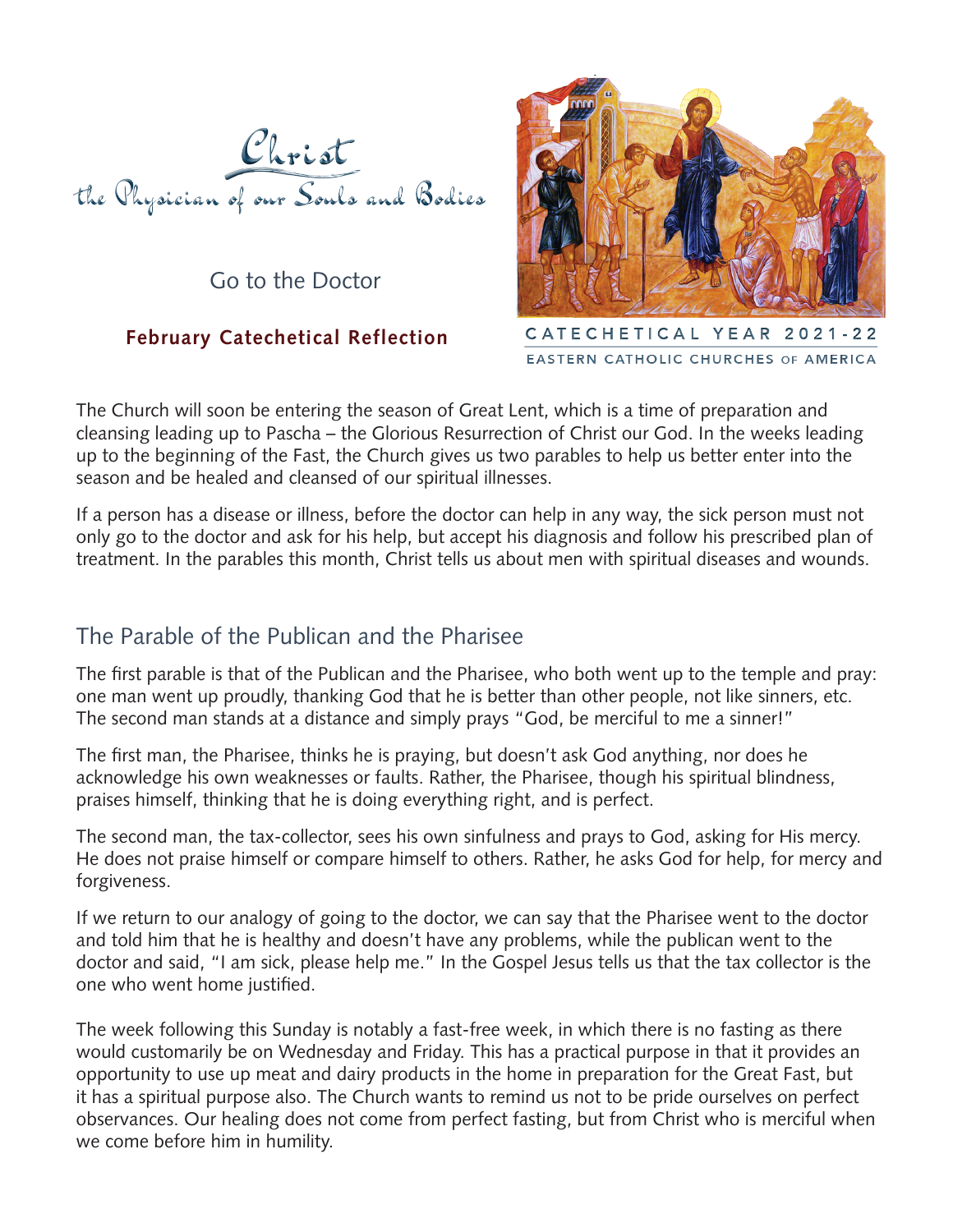

Go to the Doctor

## **February Catechetical Reflection**



CATECHETICAL YEAR 2021-22 EASTERN CATHOLIC CHURCHES OF AMERICA

The Church will soon be entering the season of Great Lent, which is a time of preparation and cleansing leading up to Pascha – the Glorious Resurrection of Christ our God. In the weeks leading up to the beginning of the Fast, the Church gives us two parables to help us better enter into the season and be healed and cleansed of our spiritual illnesses.

If a person has a disease or illness, before the doctor can help in any way, the sick person must not only go to the doctor and ask for his help, but accept his diagnosis and follow his prescribed plan of treatment. In the parables this month, Christ tells us about men with spiritual diseases and wounds.

## The Parable of the Publican and the Pharisee

The first parable is that of the Publican and the Pharisee, who both went up to the temple and pray: one man went up proudly, thanking God that he is better than other people, not like sinners, etc. The second man stands at a distance and simply prays "God, be merciful to me a sinner!"

The first man, the Pharisee, thinks he is praying, but doesn't ask God anything, nor does he acknowledge his own weaknesses or faults. Rather, the Pharisee, though his spiritual blindness, praises himself, thinking that he is doing everything right, and is perfect.

The second man, the tax-collector, sees his own sinfulness and prays to God, asking for His mercy. He does not praise himself or compare himself to others. Rather, he asks God for help, for mercy and forgiveness.

If we return to our analogy of going to the doctor, we can say that the Pharisee went to the doctor and told him that he is healthy and doesn't have any problems, while the publican went to the doctor and said, "I am sick, please help me." In the Gospel Jesus tells us that the tax collector is the one who went home justified.

The week following this Sunday is notably a fast-free week, in which there is no fasting as there would customarily be on Wednesday and Friday. This has a practical purpose in that it provides an opportunity to use up meat and dairy products in the home in preparation for the Great Fast, but it has a spiritual purpose also. The Church wants to remind us not to be pride ourselves on perfect observances. Our healing does not come from perfect fasting, but from Christ who is merciful when we come before him in humility.